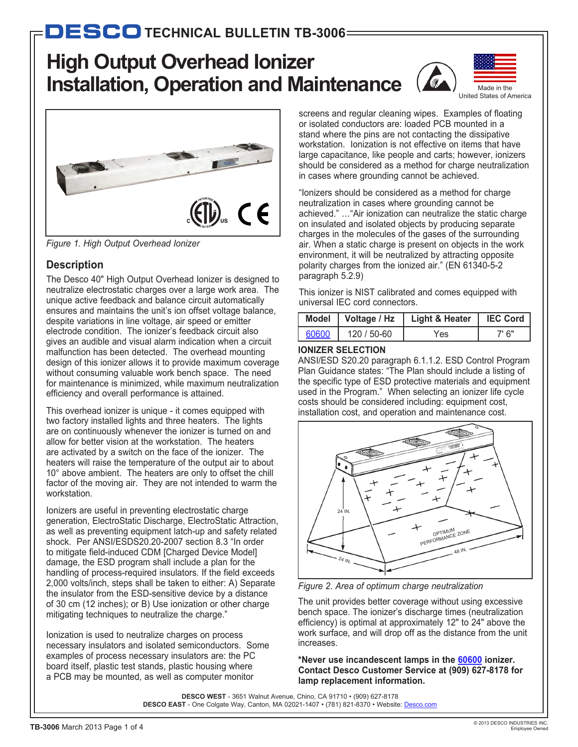# **High Output Overhead Ionizer Installation, Operation and Maintenance**





*Figure 1. High Output Overhead Ionizer*

# **Description**

The Desco 40" High Output Overhead Ionizer is designed to neutralize electrostatic charges over a large work area. The unique active feedback and balance circuit automatically ensures and maintains the unit's ion offset voltage balance, despite variations in line voltage, air speed or emitter electrode condition. The ionizer's feedback circuit also gives an audible and visual alarm indication when a circuit malfunction has been detected. The overhead mounting design of this ionizer allows it to provide maximum coverage without consuming valuable work bench space. The need for maintenance is minimized, while maximum neutralization efficiency and overall performance is attained.

This overhead ionizer is unique - it comes equipped with two factory installed lights and three heaters. The lights are on continuously whenever the ionizer is turned on and allow for better vision at the workstation. The heaters are activated by a switch on the face of the ionizer. The heaters will raise the temperature of the output air to about 10° above ambient. The heaters are only to offset the chill factor of the moving air. They are not intended to warm the workstation.

Ionizers are useful in preventing electrostatic charge generation, ElectroStatic Discharge, ElectroStatic Attraction, as well as preventing equipment latch-up and safety related shock. Per ANSI/ESDS20.20-2007 section 8.3 "In order to mitigate field-induced CDM [Charged Device Model] damage, the ESD program shall include a plan for the handling of process-required insulators. If the field exceeds 2,000 volts/inch, steps shall be taken to either: A) Separate the insulator from the ESD-sensitive device by a distance of 30 cm (12 inches); or B) Use ionization or other charge mitigating techniques to neutralize the charge."

Ionization is used to neutralize charges on process necessary insulators and isolated semiconductors. Some examples of process necessary insulators are: the PC board itself, plastic test stands, plastic housing where a PCB may be mounted, as well as computer monitor

screens and regular cleaning wipes. Examples of floating or isolated conductors are: loaded PCB mounted in a stand where the pins are not contacting the dissipative workstation. Ionization is not effective on items that have large capacitance, like people and carts; however, ionizers should be considered as a method for charge neutralization in cases where grounding cannot be achieved.

"Ionizers should be considered as a method for charge neutralization in cases where grounding cannot be achieved." …"Air ionization can neutralize the static charge on insulated and isolated objects by producing separate charges in the molecules of the gases of the surrounding air. When a static charge is present on objects in the work environment, it will be neutralized by attracting opposite polarity charges from the ionized air." (EN 61340-5-2 paragraph 5.2.9)

This ionizer is NIST calibrated and comes equipped with universal IEC cord connectors.

|       | Model   Voltage / Hz | Light & Heater | <b>IEC Cord</b> |
|-------|----------------------|----------------|-----------------|
| 60600 | 120 / 50-60          | res            | <u>ግ 6" </u>    |

## **IONIZER SELECTION**

ANSI/ESD S20.20 paragraph 6.1.1.2. ESD Control Program Plan Guidance states: "The Plan should include a listing of the specific type of ESD protective materials and equipment used in the Program." When selecting an ionizer life cycle costs should be considered including: equipment cost, installation cost, and operation and maintenance cost.



*Figure 2. Area of optimum charge neutralization*

The unit provides better coverage without using excessive bench space. The ionizer's discharge times (neutralization efficiency) is optimal at approximately 12" to 24" above the work surface, and will drop off as the distance from the unit increases.

**\*Never use incandescent lamps in the [60600](http://desco.descoindustries.com/DescoCatalog/Ionization/OverheadIonizers/60600/) ionizer. Contact Desco Customer Service at (909) 627-8178 for lamp replacement information.**

**DESCO WEST** - 3651 Walnut Avenue, Chino, CA 91710 • (909) 627-8178 DESCO EAST - One Colgate Way, Canton, MA 02021-1407 • (781) 821-8370 • Website: [Desco.com](http://desco.descoindustries.com/)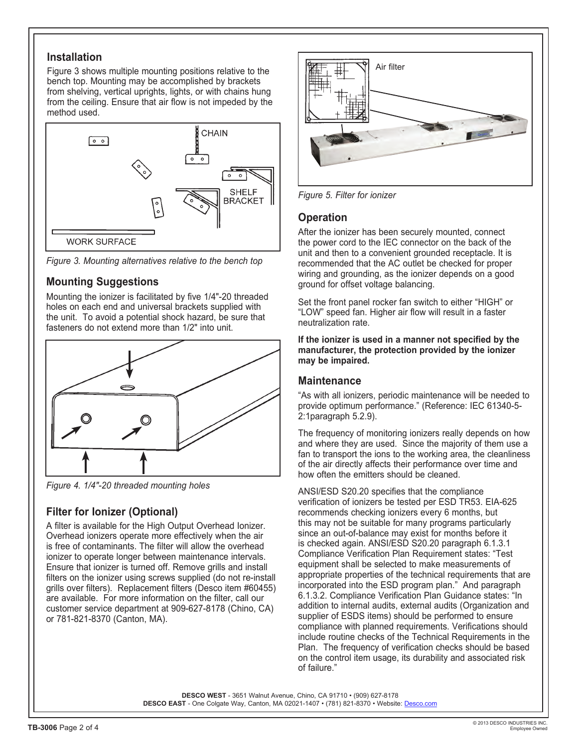#### **Installation**

Figure 3 shows multiple mounting positions relative to the bench top. Mounting may be accomplished by brackets from shelving, vertical uprights, lights, or with chains hung from the ceiling. Ensure that air flow is not impeded by the method used.



*Figure 3. Mounting alternatives relative to the bench top*

## **Mounting Suggestions**

Mounting the ionizer is facilitated by five 1/4"-20 threaded holes on each end and universal brackets supplied with the unit. To avoid a potential shock hazard, be sure that fasteners do not extend more than 1/2" into unit.



*Figure 4. 1/4"-20 threaded mounting holes*

# **Filter for Ionizer (Optional)**

A filter is available for the High Output Overhead Ionizer. Overhead ionizers operate more effectively when the air is free of contaminants. The filter will allow the overhead ionizer to operate longer between maintenance intervals. Ensure that ionizer is turned off. Remove grills and install filters on the ionizer using screws supplied (do not re-install grills over filters). Replacement filters (Desco item #60455) are available. For more information on the filter, call our customer service department at 909-627-8178 (Chino, CA) or 781-821-8370 (Canton, MA).



*Figure 5. Filter for ionizer*

#### **Operation**

After the ionizer has been securely mounted, connect the power cord to the IEC connector on the back of the unit and then to a convenient grounded receptacle. It is recommended that the AC outlet be checked for proper wiring and grounding, as the ionizer depends on a good ground for offset voltage balancing.

Set the front panel rocker fan switch to either "HIGH" or "LOW" speed fan. Higher air flow will result in a faster neutralization rate.

**If the ionizer is used in a manner not specified by the manufacturer, the protection provided by the ionizer may be impaired.**

#### **Maintenance**

"As with all ionizers, periodic maintenance will be needed to provide optimum performance." (Reference: IEC 61340-5- 2:1paragraph 5.2.9).

The frequency of monitoring ionizers really depends on how and where they are used. Since the majority of them use a fan to transport the ions to the working area, the cleanliness of the air directly affects their performance over time and how often the emitters should be cleaned.

ANSI/ESD S20.20 specifies that the compliance verification of ionizers be tested per ESD TR53. EIA-625 recommends checking ionizers every 6 months, but this may not be suitable for many programs particularly since an out-of-balance may exist for months before it is checked again. ANSI/ESD S20.20 paragraph 6.1.3.1 Compliance Verification Plan Requirement states: "Test equipment shall be selected to make measurements of appropriate properties of the technical requirements that are incorporated into the ESD program plan." And paragraph 6.1.3.2. Compliance Verification Plan Guidance states: "In addition to internal audits, external audits (Organization and supplier of ESDS items) should be performed to ensure compliance with planned requirements. Verifications should include routine checks of the Technical Requirements in the Plan. The frequency of verification checks should be based on the control item usage, its durability and associated risk of failure."

**DESCO WEST** - 3651 Walnut Avenue, Chino, CA 91710 • (909) 627-8178 DESCO EAST - One Colgate Way, Canton, MA 02021-1407 • (781) 821-8370 • Website: [Desco.com](http://desco.descoindustries.com/)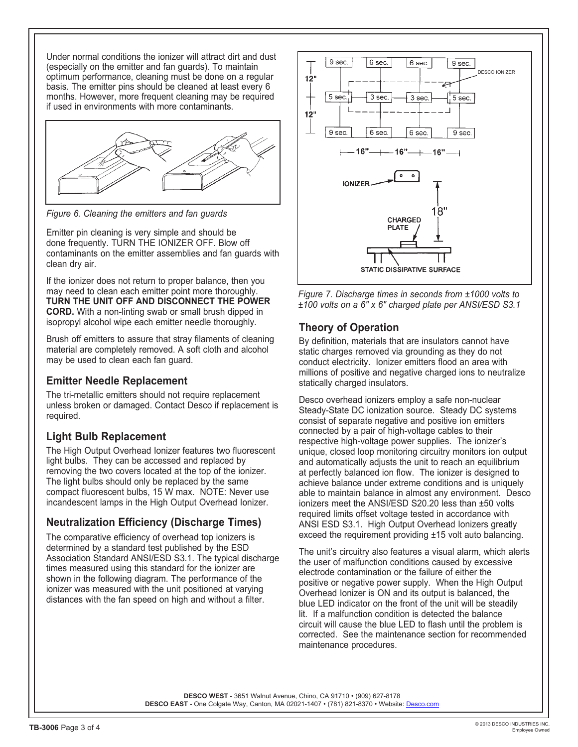Under normal conditions the ionizer will attract dirt and dust (especially on the emitter and fan guards). To maintain optimum performance, cleaning must be done on a regular basis. The emitter pins should be cleaned at least every 6 months. However, more frequent cleaning may be required if used in environments with more contaminants.



*Figure 6. Cleaning the emitters and fan guards*

Emitter pin cleaning is very simple and should be done frequently. TURN THE IONIZER OFF. Blow off contaminants on the emitter assemblies and fan guards with clean dry air.

If the ionizer does not return to proper balance, then you may need to clean each emitter point more thoroughly. **TURN THE UNIT OFF AND DISCONNECT THE POWER CORD.** With a non-linting swab or small brush dipped in isopropyl alcohol wipe each emitter needle thoroughly.

Brush off emitters to assure that stray filaments of cleaning material are completely removed. A soft cloth and alcohol may be used to clean each fan guard.

#### **Emitter Needle Replacement**

The tri-metallic emitters should not require replacement unless broken or damaged. Contact Desco if replacement is required.

# **Light Bulb Replacement**

The High Output Overhead Ionizer features two fluorescent light bulbs. They can be accessed and replaced by removing the two covers located at the top of the ionizer. The light bulbs should only be replaced by the same compact fluorescent bulbs, 15 W max. NOTE: Never use incandescent lamps in the High Output Overhead Ionizer.

#### **Neutralization Efficiency (Discharge Times)**

The comparative efficiency of overhead top ionizers is determined by a standard test published by the ESD Association Standard ANSI/ESD S3.1. The typical discharge times measured using this standard for the ionizer are shown in the following diagram. The performance of the ionizer was measured with the unit positioned at varying distances with the fan speed on high and without a filter.





## **Theory of Operation**

By definition, materials that are insulators cannot have static charges removed via grounding as they do not conduct electricity. Ionizer emitters flood an area with millions of positive and negative charged ions to neutralize statically charged insulators.

Desco overhead ionizers employ a safe non-nuclear Steady-State DC ionization source. Steady DC systems consist of separate negative and positive ion emitters connected by a pair of high-voltage cables to their respective high-voltage power supplies. The ionizer's unique, closed loop monitoring circuitry monitors ion output and automatically adjusts the unit to reach an equilibrium at perfectly balanced ion flow. The ionizer is designed to achieve balance under extreme conditions and is uniquely able to maintain balance in almost any environment. Desco ionizers meet the ANSI/ESD S20.20 less than ±50 volts required limits offset voltage tested in accordance with ANSI ESD S3.1. High Output Overhead Ionizers greatly exceed the requirement providing ±15 volt auto balancing.

The unit's circuitry also features a visual alarm, which alerts the user of malfunction conditions caused by excessive electrode contamination or the failure of either the positive or negative power supply. When the High Output Overhead Ionizer is ON and its output is balanced, the blue LED indicator on the front of the unit will be steadily lit. If a malfunction condition is detected the balance circuit will cause the blue LED to flash until the problem is corrected. See the maintenance section for recommended maintenance procedures.

**DESCO WEST** - 3651 Walnut Avenue, Chino, CA 91710 • (909) 627-8178 DESCO EAST - One Colgate Way, Canton, MA 02021-1407 • (781) 821-8370 • Website: [Desco.com](http://desco.descoindustries.com/)